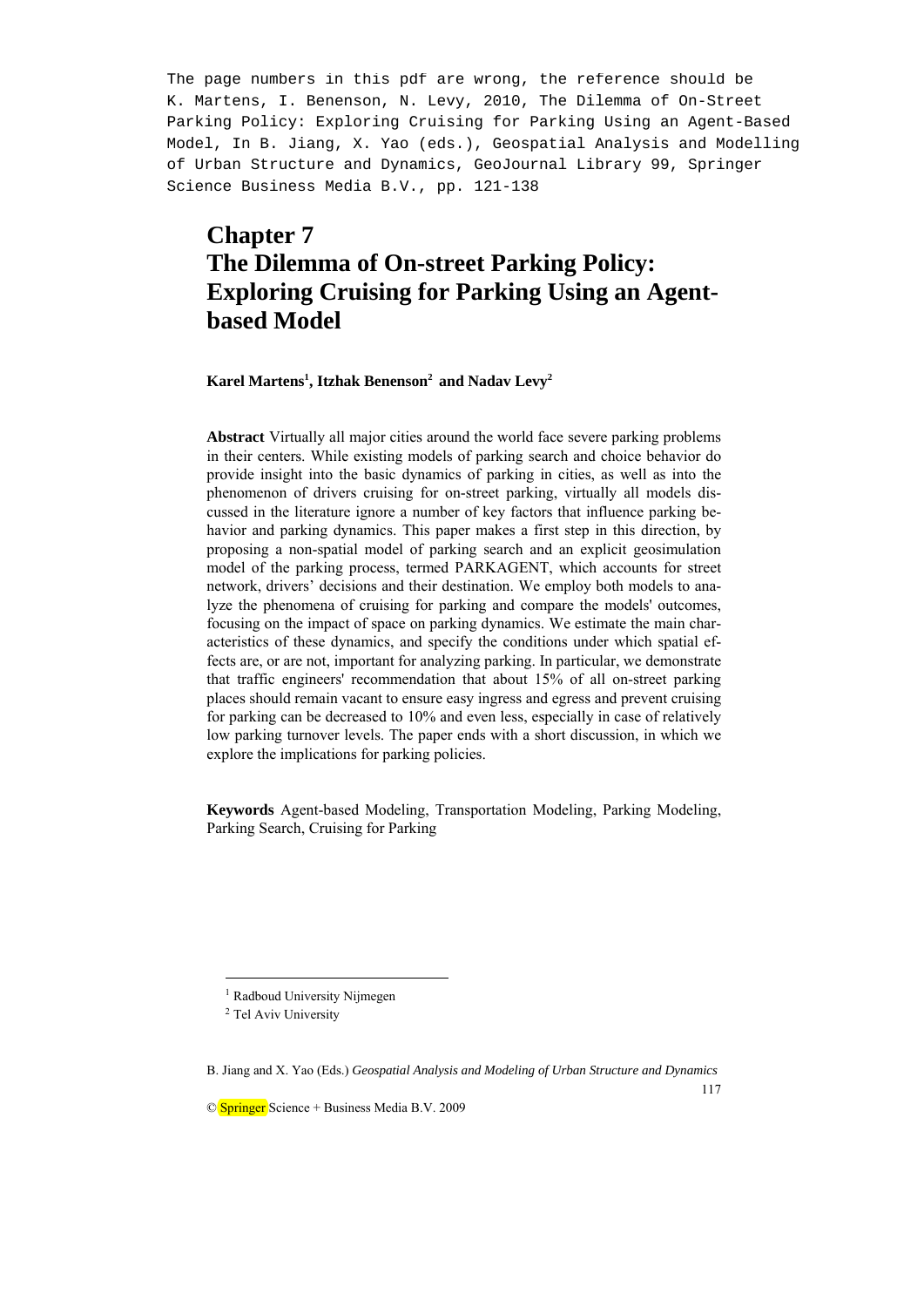The page numbers in this pdf are wrong, the reference should be K. Martens, I. Benenson, N. Levy, 2010, The Dilemma of On-Street Parking Policy: Exploring Cruising for Parking Using an Agent-Based Model, In B. Jiang, X. Yao (eds.), Geospatial Analysis and Modelling of Urban Structure and Dynamics, GeoJournal Library 99, Springer Science Business Media B.V., pp. 121-138

# **Chapter 7 The Dilemma of On-street Parking Policy: Exploring Cruising for Parking Using an Agentbased Model**

**Karel Martens1 , Itzhak Benenson2 and Nadav Levy2** 

**Abstract** Virtually all major cities around the world face severe parking problems in their centers. While existing models of parking search and choice behavior do provide insight into the basic dynamics of parking in cities, as well as into the phenomenon of drivers cruising for on-street parking, virtually all models discussed in the literature ignore a number of key factors that influence parking behavior and parking dynamics. This paper makes a first step in this direction, by proposing a non-spatial model of parking search and an explicit geosimulation model of the parking process, termed PARKAGENT, which accounts for street network, drivers' decisions and their destination. We employ both models to analyze the phenomena of cruising for parking and compare the models' outcomes, focusing on the impact of space on parking dynamics. We estimate the main characteristics of these dynamics, and specify the conditions under which spatial effects are, or are not, important for analyzing parking. In particular, we demonstrate that traffic engineers' recommendation that about 15% of all on-street parking places should remain vacant to ensure easy ingress and egress and prevent cruising for parking can be decreased to 10% and even less, especially in case of relatively low parking turnover levels. The paper ends with a short discussion, in which we explore the implications for parking policies.

**Keywords** Agent-based Modeling, Transportation Modeling, Parking Modeling, Parking Search, Cruising for Parking

1

B. Jiang and X. Yao (Eds.) *Geospatial Analysis and Modeling of Urban Structure and Dynamics* 

© Springer Science + Business Media B.V. 2009

<sup>&</sup>lt;sup>1</sup> Radboud University Nijmegen

<sup>2</sup> Tel Aviv University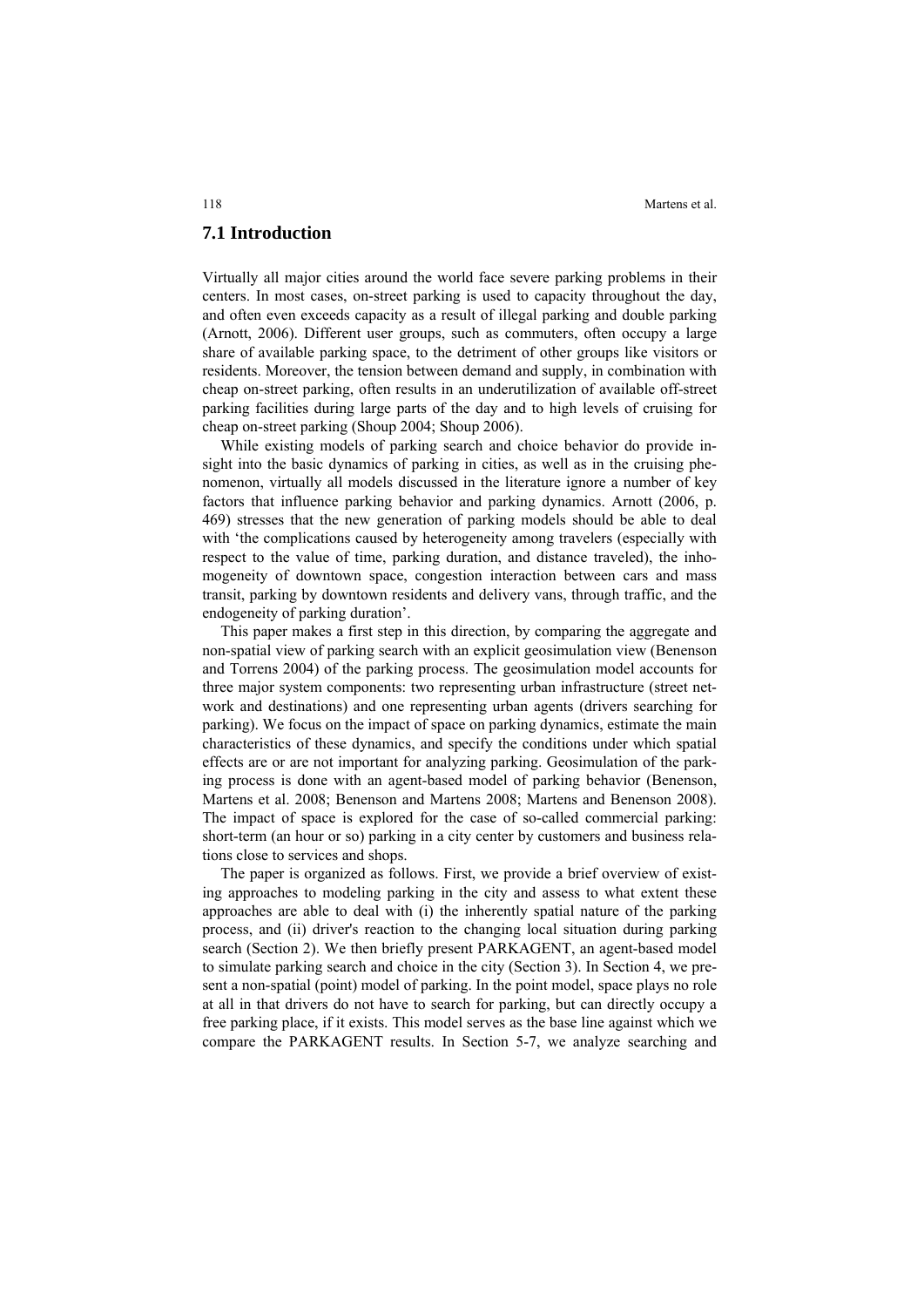## **7.1 Introduction**

Virtually all major cities around the world face severe parking problems in their centers. In most cases, on-street parking is used to capacity throughout the day, and often even exceeds capacity as a result of illegal parking and double parking (Arnott, 2006). Different user groups, such as commuters, often occupy a large share of available parking space, to the detriment of other groups like visitors or residents. Moreover, the tension between demand and supply, in combination with cheap on-street parking, often results in an underutilization of available off-street parking facilities during large parts of the day and to high levels of cruising for cheap on-street parking (Shoup 2004; Shoup 2006).

While existing models of parking search and choice behavior do provide insight into the basic dynamics of parking in cities, as well as in the cruising phenomenon, virtually all models discussed in the literature ignore a number of key factors that influence parking behavior and parking dynamics. Arnott (2006, p. 469) stresses that the new generation of parking models should be able to deal with 'the complications caused by heterogeneity among travelers (especially with respect to the value of time, parking duration, and distance traveled), the inhomogeneity of downtown space, congestion interaction between cars and mass transit, parking by downtown residents and delivery vans, through traffic, and the endogeneity of parking duration'.

This paper makes a first step in this direction, by comparing the aggregate and non-spatial view of parking search with an explicit geosimulation view (Benenson and Torrens 2004) of the parking process. The geosimulation model accounts for three major system components: two representing urban infrastructure (street network and destinations) and one representing urban agents (drivers searching for parking). We focus on the impact of space on parking dynamics, estimate the main characteristics of these dynamics, and specify the conditions under which spatial effects are or are not important for analyzing parking. Geosimulation of the parking process is done with an agent-based model of parking behavior (Benenson, Martens et al. 2008; Benenson and Martens 2008; Martens and Benenson 2008). The impact of space is explored for the case of so-called commercial parking: short-term (an hour or so) parking in a city center by customers and business relations close to services and shops.

The paper is organized as follows. First, we provide a brief overview of existing approaches to modeling parking in the city and assess to what extent these approaches are able to deal with (i) the inherently spatial nature of the parking process, and (ii) driver's reaction to the changing local situation during parking search (Section 2). We then briefly present PARKAGENT, an agent-based model to simulate parking search and choice in the city (Section 3). In Section 4, we present a non-spatial (point) model of parking. In the point model, space plays no role at all in that drivers do not have to search for parking, but can directly occupy a free parking place, if it exists. This model serves as the base line against which we compare the PARKAGENT results. In Section 5-7, we analyze searching and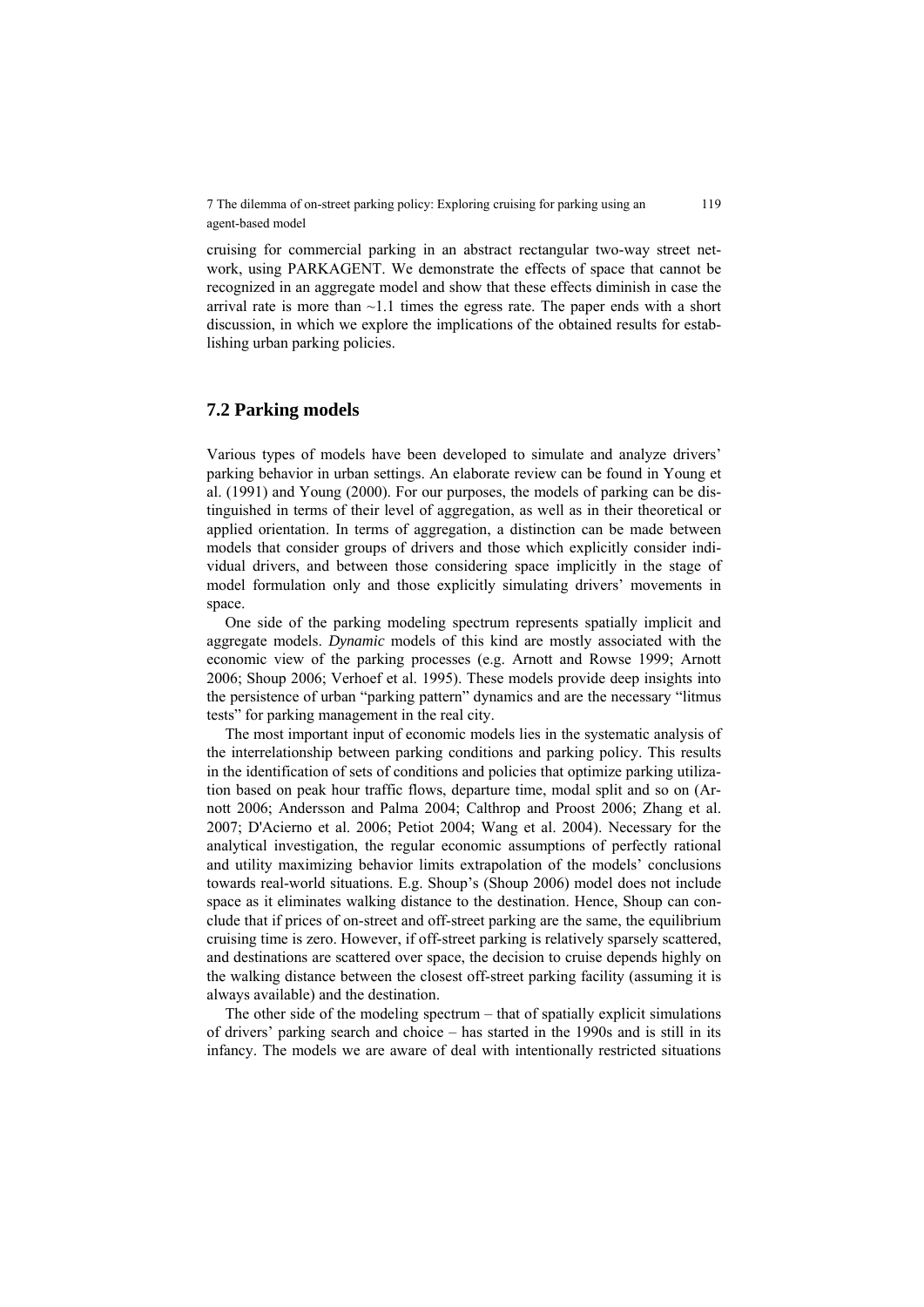cruising for commercial parking in an abstract rectangular two-way street network, using PARKAGENT. We demonstrate the effects of space that cannot be recognized in an aggregate model and show that these effects diminish in case the arrival rate is more than  $\sim$ 1.1 times the egress rate. The paper ends with a short discussion, in which we explore the implications of the obtained results for establishing urban parking policies.

#### **7.2 Parking models**

Various types of models have been developed to simulate and analyze drivers' parking behavior in urban settings. An elaborate review can be found in Young et al. (1991) and Young (2000). For our purposes, the models of parking can be distinguished in terms of their level of aggregation, as well as in their theoretical or applied orientation. In terms of aggregation, a distinction can be made between models that consider groups of drivers and those which explicitly consider individual drivers, and between those considering space implicitly in the stage of model formulation only and those explicitly simulating drivers' movements in space.

One side of the parking modeling spectrum represents spatially implicit and aggregate models. *Dynamic* models of this kind are mostly associated with the economic view of the parking processes (e.g. Arnott and Rowse 1999; Arnott 2006; Shoup 2006; Verhoef et al. 1995). These models provide deep insights into the persistence of urban "parking pattern" dynamics and are the necessary "litmus tests" for parking management in the real city.

The most important input of economic models lies in the systematic analysis of the interrelationship between parking conditions and parking policy. This results in the identification of sets of conditions and policies that optimize parking utilization based on peak hour traffic flows, departure time, modal split and so on (Arnott 2006; Andersson and Palma 2004; Calthrop and Proost 2006; Zhang et al. 2007; D'Acierno et al. 2006; Petiot 2004; Wang et al. 2004). Necessary for the analytical investigation, the regular economic assumptions of perfectly rational and utility maximizing behavior limits extrapolation of the models' conclusions towards real-world situations. E.g. Shoup's (Shoup 2006) model does not include space as it eliminates walking distance to the destination. Hence, Shoup can conclude that if prices of on-street and off-street parking are the same, the equilibrium cruising time is zero. However, if off-street parking is relatively sparsely scattered, and destinations are scattered over space, the decision to cruise depends highly on the walking distance between the closest off-street parking facility (assuming it is always available) and the destination.

The other side of the modeling spectrum – that of spatially explicit simulations of drivers' parking search and choice – has started in the 1990s and is still in its infancy. The models we are aware of deal with intentionally restricted situations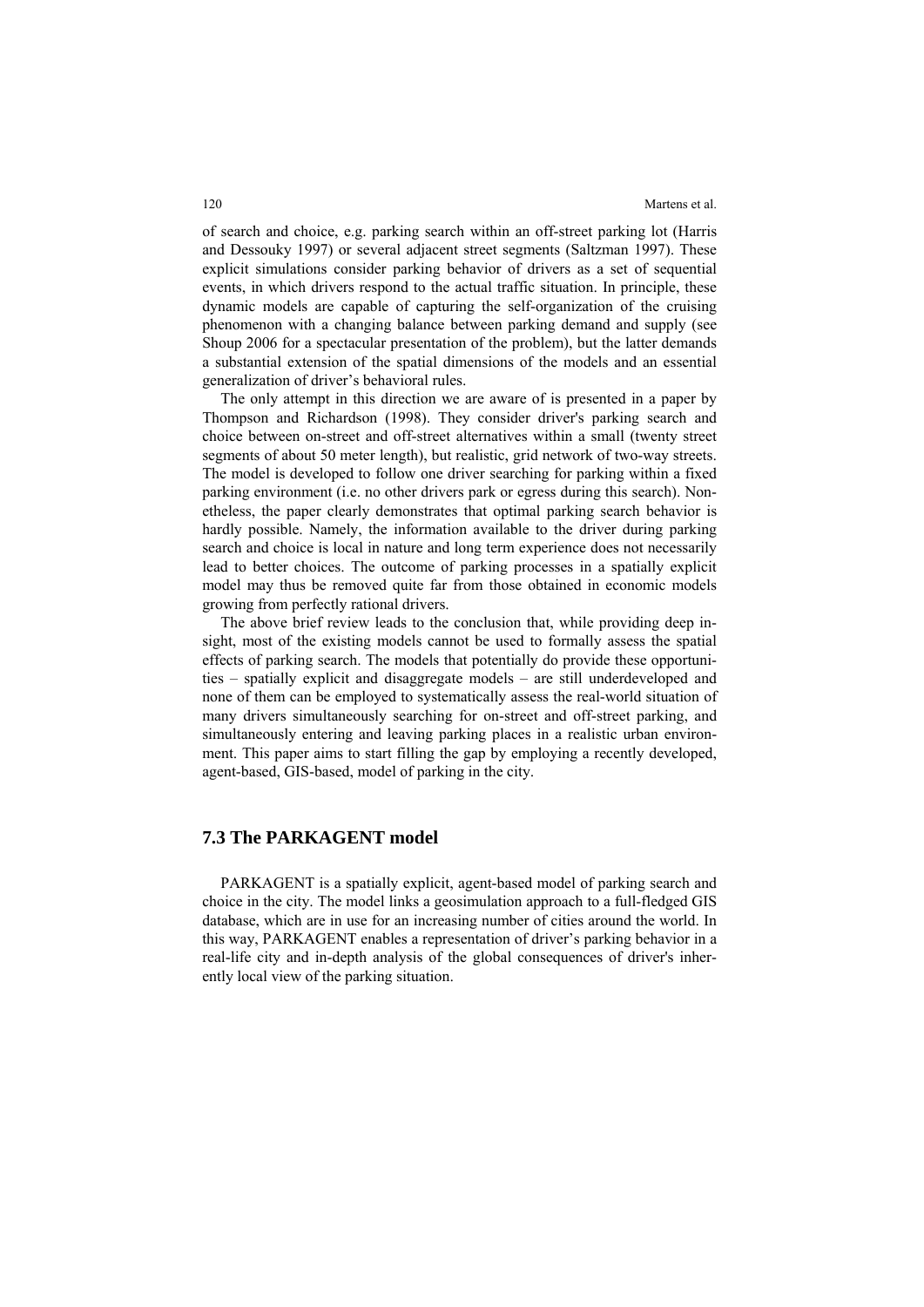of search and choice, e.g. parking search within an off-street parking lot (Harris and Dessouky 1997) or several adjacent street segments (Saltzman 1997). These explicit simulations consider parking behavior of drivers as a set of sequential events, in which drivers respond to the actual traffic situation. In principle, these dynamic models are capable of capturing the self-organization of the cruising phenomenon with a changing balance between parking demand and supply (see Shoup 2006 for a spectacular presentation of the problem), but the latter demands a substantial extension of the spatial dimensions of the models and an essential generalization of driver's behavioral rules.

The only attempt in this direction we are aware of is presented in a paper by Thompson and Richardson (1998). They consider driver's parking search and choice between on-street and off-street alternatives within a small (twenty street segments of about 50 meter length), but realistic, grid network of two-way streets. The model is developed to follow one driver searching for parking within a fixed parking environment (i.e. no other drivers park or egress during this search). Nonetheless, the paper clearly demonstrates that optimal parking search behavior is hardly possible. Namely, the information available to the driver during parking search and choice is local in nature and long term experience does not necessarily lead to better choices. The outcome of parking processes in a spatially explicit model may thus be removed quite far from those obtained in economic models growing from perfectly rational drivers.

The above brief review leads to the conclusion that, while providing deep insight, most of the existing models cannot be used to formally assess the spatial effects of parking search. The models that potentially do provide these opportunities – spatially explicit and disaggregate models – are still underdeveloped and none of them can be employed to systematically assess the real-world situation of many drivers simultaneously searching for on-street and off-street parking, and simultaneously entering and leaving parking places in a realistic urban environment. This paper aims to start filling the gap by employing a recently developed, agent-based, GIS-based, model of parking in the city.

#### **7.3 The PARKAGENT model**

PARKAGENT is a spatially explicit, agent-based model of parking search and choice in the city. The model links a geosimulation approach to a full-fledged GIS database, which are in use for an increasing number of cities around the world. In this way, PARKAGENT enables a representation of driver's parking behavior in a real-life city and in-depth analysis of the global consequences of driver's inherently local view of the parking situation.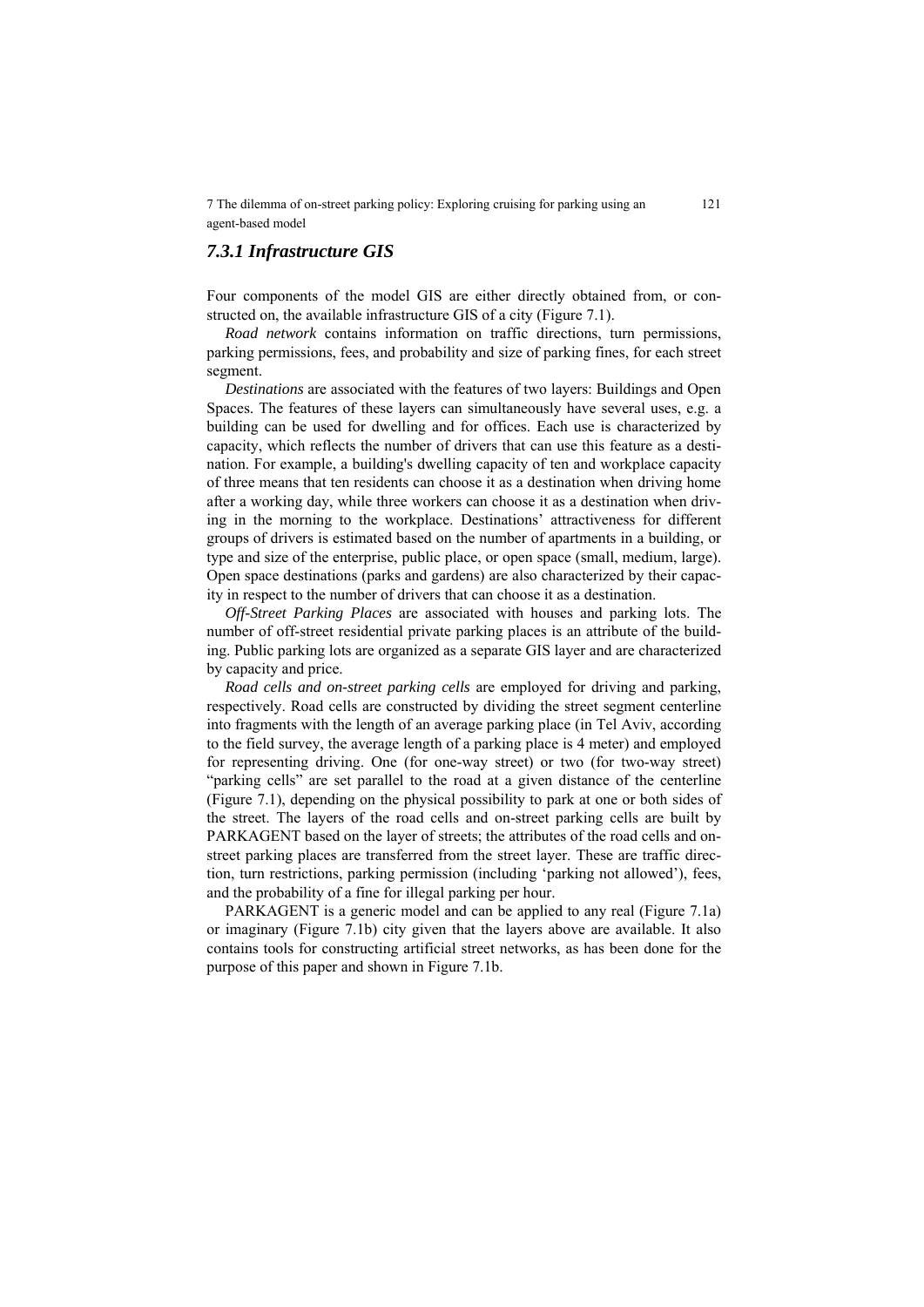#### *7.3.1 Infrastructure GIS*

Four components of the model GIS are either directly obtained from, or constructed on, the available infrastructure GIS of a city (Figure 7.1).

*Road network* contains information on traffic directions, turn permissions, parking permissions, fees, and probability and size of parking fines, for each street segment.

*Destinations* are associated with the features of two layers: Buildings and Open Spaces. The features of these layers can simultaneously have several uses, e.g. a building can be used for dwelling and for offices. Each use is characterized by capacity, which reflects the number of drivers that can use this feature as a destination. For example, a building's dwelling capacity of ten and workplace capacity of three means that ten residents can choose it as a destination when driving home after a working day, while three workers can choose it as a destination when driving in the morning to the workplace. Destinations' attractiveness for different groups of drivers is estimated based on the number of apartments in a building, or type and size of the enterprise, public place, or open space (small, medium, large). Open space destinations (parks and gardens) are also characterized by their capacity in respect to the number of drivers that can choose it as a destination.

*Off-Street Parking Places* are associated with houses and parking lots. The number of off-street residential private parking places is an attribute of the building. Public parking lots are organized as a separate GIS layer and are characterized by capacity and price.

*Road cells and on-street parking cells* are employed for driving and parking, respectively. Road cells are constructed by dividing the street segment centerline into fragments with the length of an average parking place (in Tel Aviv, according to the field survey, the average length of a parking place is 4 meter) and employed for representing driving. One (for one-way street) or two (for two-way street) "parking cells" are set parallel to the road at a given distance of the centerline (Figure 7.1), depending on the physical possibility to park at one or both sides of the street. The layers of the road cells and on-street parking cells are built by PARKAGENT based on the layer of streets; the attributes of the road cells and onstreet parking places are transferred from the street layer. These are traffic direction, turn restrictions, parking permission (including 'parking not allowed'), fees, and the probability of a fine for illegal parking per hour.

PARKAGENT is a generic model and can be applied to any real (Figure 7.1a) or imaginary (Figure 7.1b) city given that the layers above are available. It also contains tools for constructing artificial street networks, as has been done for the purpose of this paper and shown in Figure 7.1b.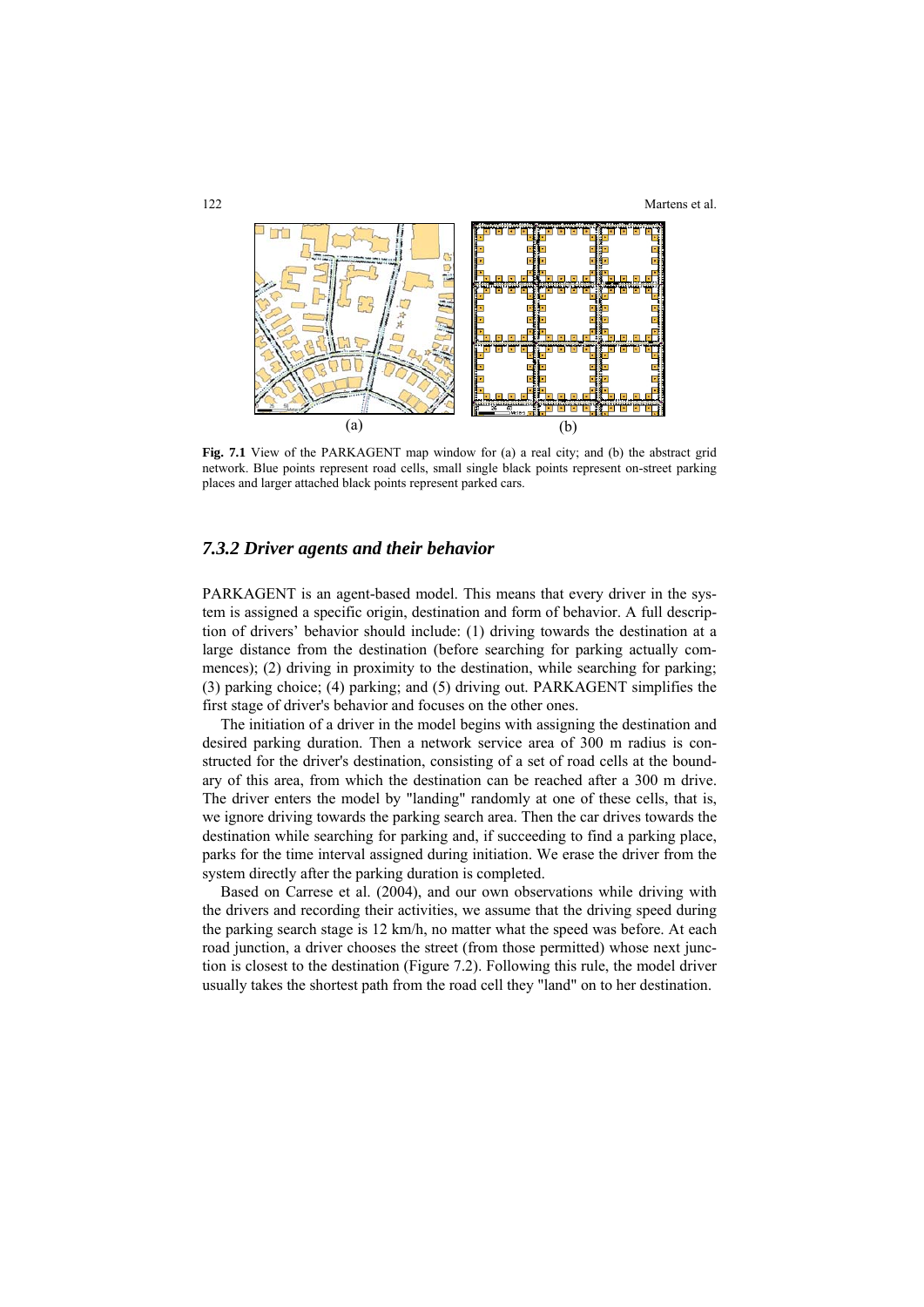

Fig. 7.1 View of the PARKAGENT map window for (a) a real city; and (b) the abstract grid network. Blue points represent road cells, small single black points represent on-street parking places and larger attached black points represent parked cars.

#### *7.3.2 Driver agents and their behavior*

PARKAGENT is an agent-based model. This means that every driver in the system is assigned a specific origin, destination and form of behavior. A full description of drivers' behavior should include: (1) driving towards the destination at a large distance from the destination (before searching for parking actually commences); (2) driving in proximity to the destination, while searching for parking; (3) parking choice; (4) parking; and (5) driving out. PARKAGENT simplifies the first stage of driver's behavior and focuses on the other ones.

The initiation of a driver in the model begins with assigning the destination and desired parking duration. Then a network service area of 300 m radius is constructed for the driver's destination, consisting of a set of road cells at the boundary of this area, from which the destination can be reached after a 300 m drive. The driver enters the model by "landing" randomly at one of these cells, that is, we ignore driving towards the parking search area. Then the car drives towards the destination while searching for parking and, if succeeding to find a parking place, parks for the time interval assigned during initiation. We erase the driver from the system directly after the parking duration is completed.

Based on Carrese et al. (2004), and our own observations while driving with the drivers and recording their activities, we assume that the driving speed during the parking search stage is 12 km/h, no matter what the speed was before. At each road junction, a driver chooses the street (from those permitted) whose next junction is closest to the destination (Figure 7.2). Following this rule, the model driver usually takes the shortest path from the road cell they "land" on to her destination.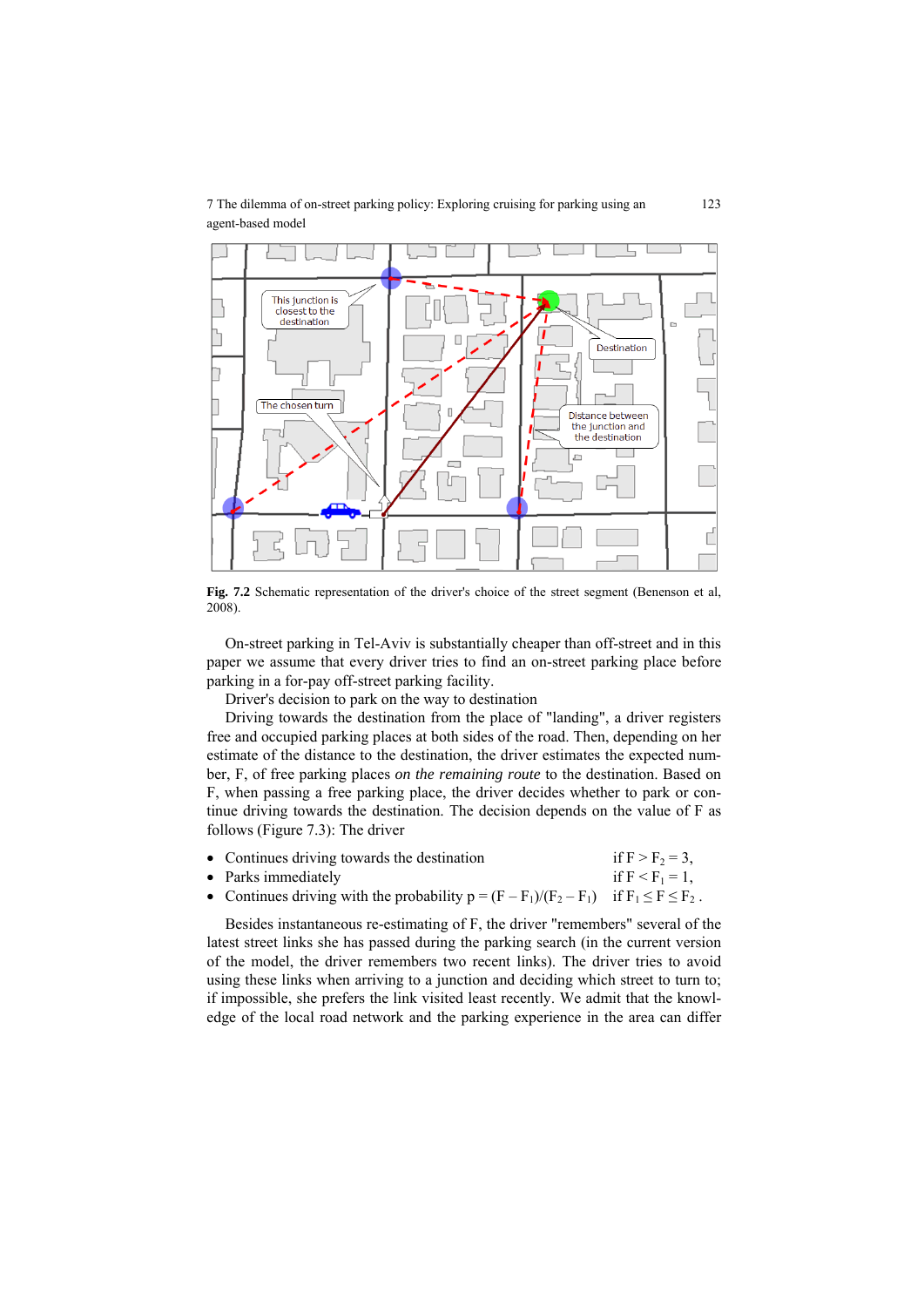

**Fig. 7.2** Schematic representation of the driver's choice of the street segment (Benenson et al, 2008).

On-street parking in Tel-Aviv is substantially cheaper than off-street and in this paper we assume that every driver tries to find an on-street parking place before parking in a for-pay off-street parking facility.

Driver's decision to park on the way to destination

Driving towards the destination from the place of "landing", a driver registers free and occupied parking places at both sides of the road. Then, depending on her estimate of the distance to the destination, the driver estimates the expected number, F, of free parking places *on the remaining route* to the destination. Based on F, when passing a free parking place, the driver decides whether to park or continue driving towards the destination. The decision depends on the value of F as follows (Figure 7.3): The driver

| • Continues driving towards the destination                                                   | if $F > F_2 = 3$ . |
|-----------------------------------------------------------------------------------------------|--------------------|
| • Parks immediately                                                                           | if $F < F_1 = 1$ . |
| • Continues driving with the probability $p = (F - F_1)/(F_2 - F_1)$ if $F_1 \le F \le F_2$ . |                    |

Besides instantaneous re-estimating of F, the driver "remembers" several of the latest street links she has passed during the parking search (in the current version of the model, the driver remembers two recent links). The driver tries to avoid using these links when arriving to a junction and deciding which street to turn to; if impossible, she prefers the link visited least recently. We admit that the knowledge of the local road network and the parking experience in the area can differ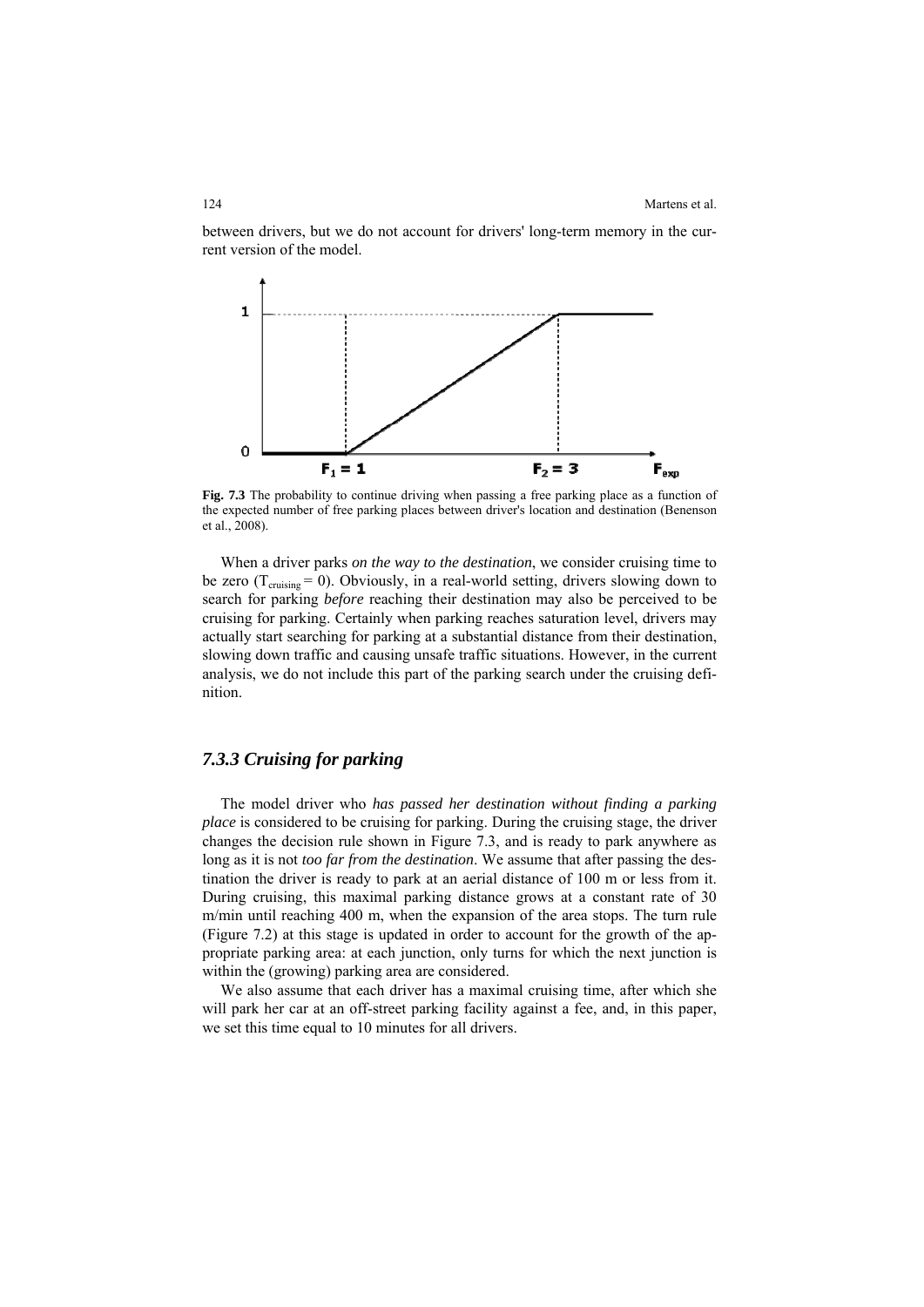between drivers, but we do not account for drivers' long-term memory in the current version of the model.



**Fig. 7.3** The probability to continue driving when passing a free parking place as a function of the expected number of free parking places between driver's location and destination (Benenson et al., 2008).

When a driver parks *on the way to the destination*, we consider cruising time to be zero ( $T_{\text{cruising}} = 0$ ). Obviously, in a real-world setting, drivers slowing down to search for parking *before* reaching their destination may also be perceived to be cruising for parking. Certainly when parking reaches saturation level, drivers may actually start searching for parking at a substantial distance from their destination, slowing down traffic and causing unsafe traffic situations. However, in the current analysis, we do not include this part of the parking search under the cruising definition.

# *7.3.3 Cruising for parking*

The model driver who *has passed her destination without finding a parking place* is considered to be cruising for parking. During the cruising stage, the driver changes the decision rule shown in Figure 7.3, and is ready to park anywhere as long as it is not *too far from the destination*. We assume that after passing the destination the driver is ready to park at an aerial distance of 100 m or less from it. During cruising, this maximal parking distance grows at a constant rate of 30 m/min until reaching 400 m, when the expansion of the area stops. The turn rule (Figure 7.2) at this stage is updated in order to account for the growth of the appropriate parking area: at each junction, only turns for which the next junction is within the (growing) parking area are considered.

We also assume that each driver has a maximal cruising time, after which she will park her car at an off-street parking facility against a fee, and, in this paper, we set this time equal to 10 minutes for all drivers.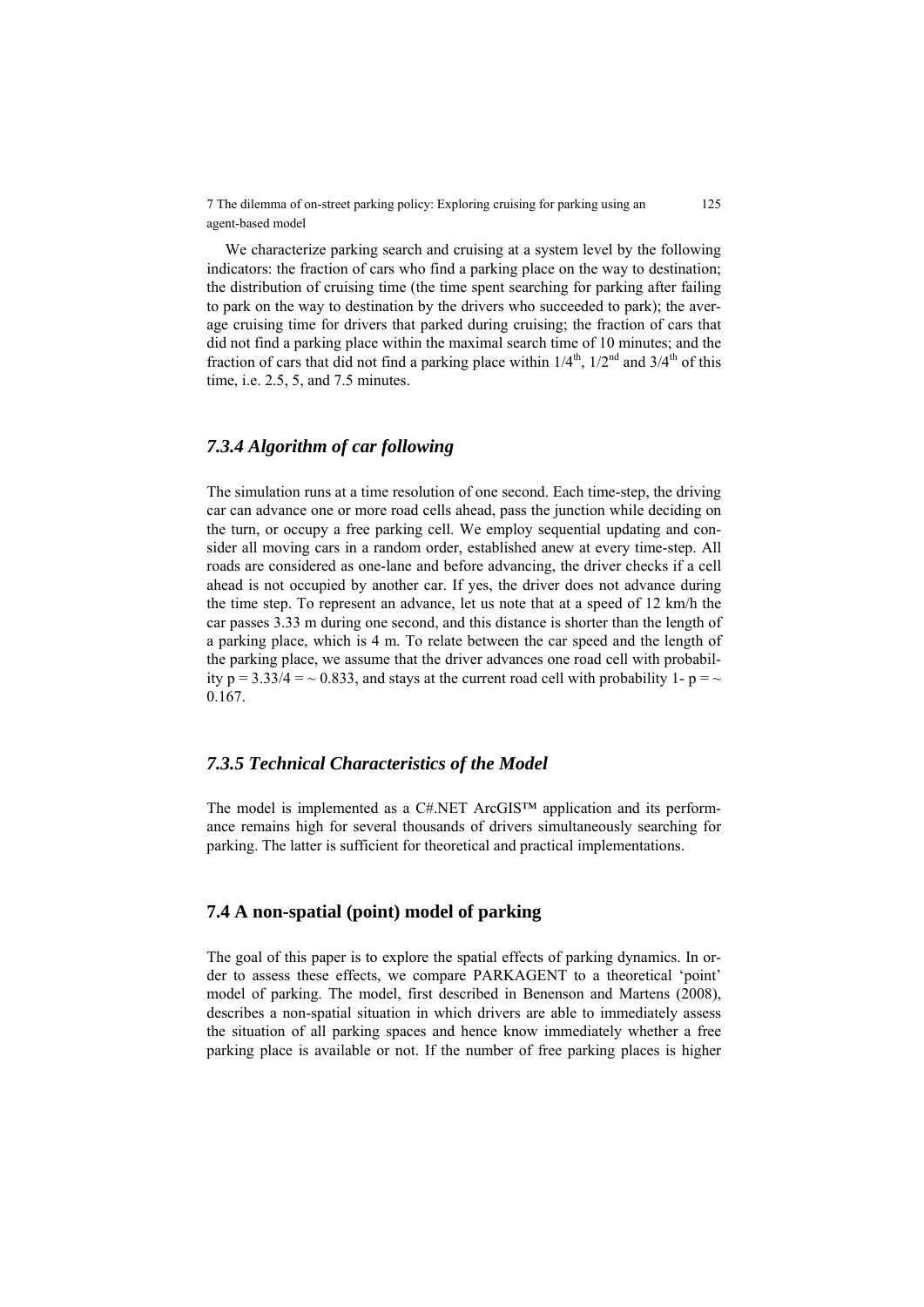We characterize parking search and cruising at a system level by the following indicators: the fraction of cars who find a parking place on the way to destination; the distribution of cruising time (the time spent searching for parking after failing to park on the way to destination by the drivers who succeeded to park); the average cruising time for drivers that parked during cruising; the fraction of cars that did not find a parking place within the maximal search time of 10 minutes; and the fraction of cars that did not find a parking place within  $1/4^{th}$ ,  $1/2^{nd}$  and  $3/4^{th}$  of this time, i.e. 2.5, 5, and 7.5 minutes.

#### *7.3.4 Algorithm of car following*

The simulation runs at a time resolution of one second. Each time-step, the driving car can advance one or more road cells ahead, pass the junction while deciding on the turn, or occupy a free parking cell. We employ sequential updating and consider all moving cars in a random order, established anew at every time-step. All roads are considered as one-lane and before advancing, the driver checks if a cell ahead is not occupied by another car. If yes, the driver does not advance during the time step. To represent an advance, let us note that at a speed of 12 km/h the car passes 3.33 m during one second, and this distance is shorter than the length of a parking place, which is 4 m. To relate between the car speed and the length of the parking place, we assume that the driver advances one road cell with probability  $p = 3.33/4 = \sim 0.833$ , and stays at the current road cell with probability 1-  $p = \sim$ 0.167.

# *7.3.5 Technical Characteristics of the Model*

The model is implemented as a C#.NET ArcGIS™ application and its performance remains high for several thousands of drivers simultaneously searching for parking. The latter is sufficient for theoretical and practical implementations.

# **7.4 A non-spatial (point) model of parking**

The goal of this paper is to explore the spatial effects of parking dynamics. In order to assess these effects, we compare PARKAGENT to a theoretical 'point' model of parking. The model, first described in Benenson and Martens (2008), describes a non-spatial situation in which drivers are able to immediately assess the situation of all parking spaces and hence know immediately whether a free parking place is available or not. If the number of free parking places is higher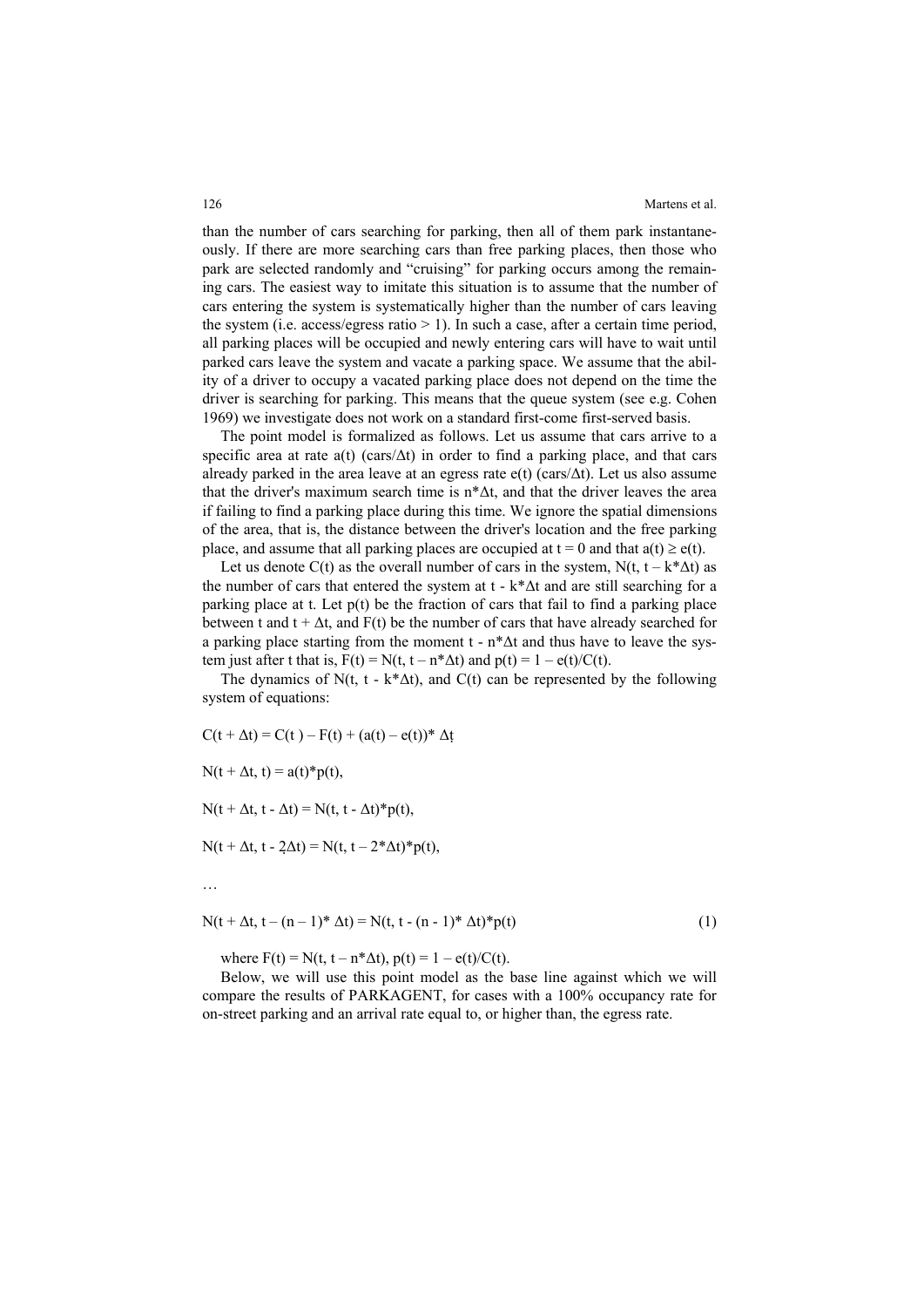than the number of cars searching for parking, then all of them park instantaneously. If there are more searching cars than free parking places, then those who park are selected randomly and "cruising" for parking occurs among the remaining cars. The easiest way to imitate this situation is to assume that the number of cars entering the system is systematically higher than the number of cars leaving the system (i.e. access/egress ratio  $> 1$ ). In such a case, after a certain time period, all parking places will be occupied and newly entering cars will have to wait until parked cars leave the system and vacate a parking space. We assume that the ability of a driver to occupy a vacated parking place does not depend on the time the driver is searching for parking. This means that the queue system (see e.g. Cohen 1969) we investigate does not work on a standard first-come first-served basis.

The point model is formalized as follows. Let us assume that cars arrive to a specific area at rate a(t) (cars/ $\Delta t$ ) in order to find a parking place, and that cars already parked in the area leave at an egress rate  $e(t)$  (cars/ $\Delta t$ ). Let us also assume that the driver's maximum search time is  $n^*\Delta t$ , and that the driver leaves the area if failing to find a parking place during this time. We ignore the spatial dimensions of the area, that is, the distance between the driver's location and the free parking place, and assume that all parking places are occupied at  $t = 0$  and that  $a(t) \ge e(t)$ .

Let us denote C(t) as the overall number of cars in the system, N(t, t –  $k^*\Delta t$ ) as the number of cars that entered the system at t - k\*Δt and are still searching for a parking place at t. Let  $p(t)$  be the fraction of cars that fail to find a parking place between t and  $t + \Delta t$ , and  $F(t)$  be the number of cars that have already searched for a parking place starting from the moment  $t - n^* \Delta t$  and thus have to leave the system just after t that is,  $F(t) = N(t, t - n^* \Delta t)$  and  $p(t) = 1 - e(t)/C(t)$ .

The dynamics of N(t, t - k\* $\Delta t$ ), and C(t) can be represented by the following system of equations:

 $C(t + \Delta t) = C(t) - F(t) + (a(t) - e(t))^* \Delta t$ 

 $N(t + \Delta t, t) = a(t)^* p(t),$ 

 $N(t + \Delta t, t - \Delta t) = N(t, t - \Delta t)^* p(t),$ 

 $N(t + \Delta t, t - 2\Delta t) = N(t, t - 2*\Delta t)*p(t),$ 

…

$$
N(t + \Delta t, t - (n - 1)^* \Delta t) = N(t, t - (n - 1)^* \Delta t)^* p(t)
$$
\n(1)

where  $F(t) = N(t, t - n^* \Delta t)$ ,  $p(t) = 1 - e(t)/C(t)$ .

Below, we will use this point model as the base line against which we will compare the results of PARKAGENT, for cases with a 100% occupancy rate for on-street parking and an arrival rate equal to, or higher than, the egress rate.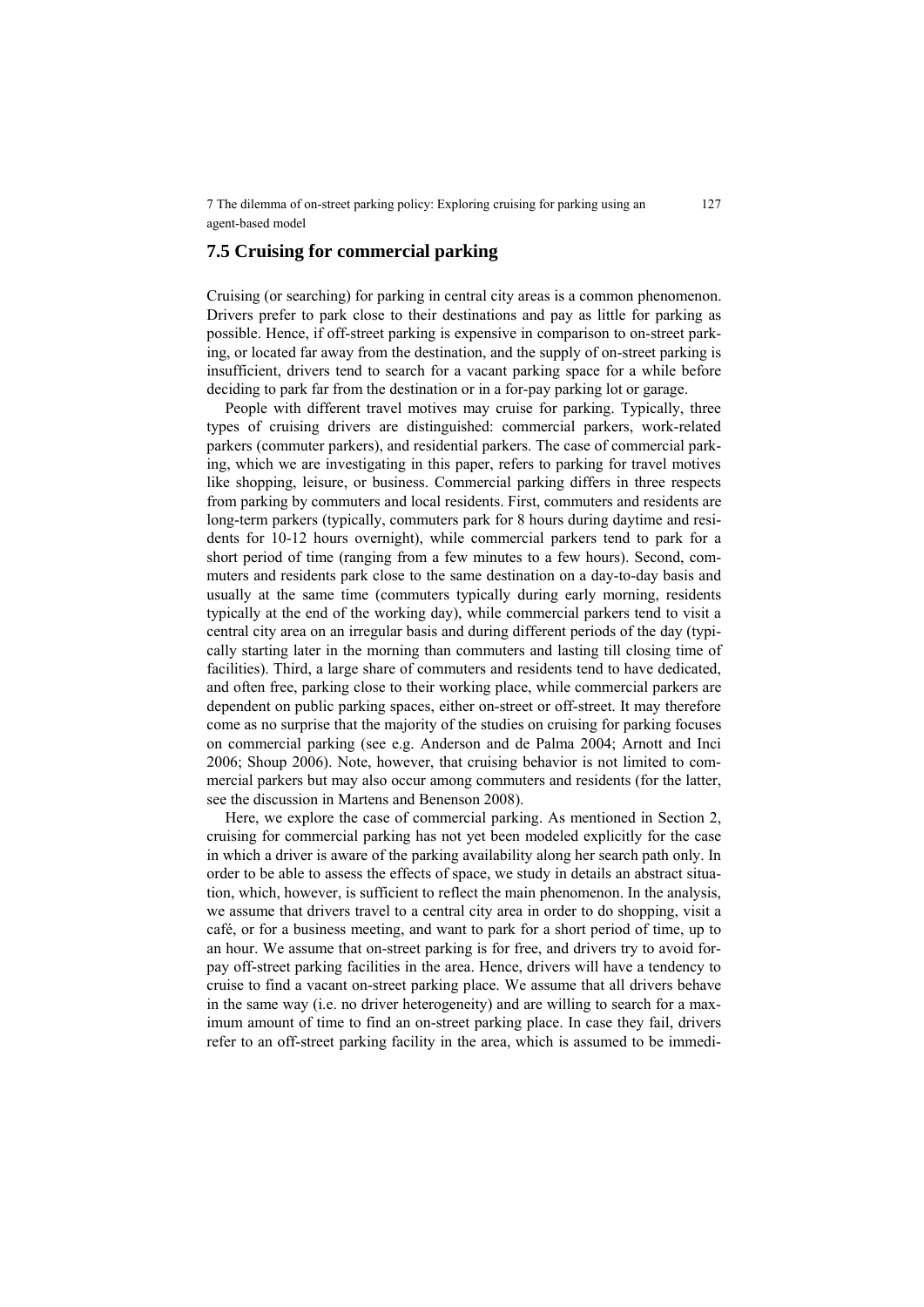#### **7.5 Cruising for commercial parking**

Cruising (or searching) for parking in central city areas is a common phenomenon. Drivers prefer to park close to their destinations and pay as little for parking as possible. Hence, if off-street parking is expensive in comparison to on-street parking, or located far away from the destination, and the supply of on-street parking is insufficient, drivers tend to search for a vacant parking space for a while before deciding to park far from the destination or in a for-pay parking lot or garage.

People with different travel motives may cruise for parking. Typically, three types of cruising drivers are distinguished: commercial parkers, work-related parkers (commuter parkers), and residential parkers. The case of commercial parking, which we are investigating in this paper, refers to parking for travel motives like shopping, leisure, or business. Commercial parking differs in three respects from parking by commuters and local residents. First, commuters and residents are long-term parkers (typically, commuters park for 8 hours during daytime and residents for 10-12 hours overnight), while commercial parkers tend to park for a short period of time (ranging from a few minutes to a few hours). Second, commuters and residents park close to the same destination on a day-to-day basis and usually at the same time (commuters typically during early morning, residents typically at the end of the working day), while commercial parkers tend to visit a central city area on an irregular basis and during different periods of the day (typically starting later in the morning than commuters and lasting till closing time of facilities). Third, a large share of commuters and residents tend to have dedicated, and often free, parking close to their working place, while commercial parkers are dependent on public parking spaces, either on-street or off-street. It may therefore come as no surprise that the majority of the studies on cruising for parking focuses on commercial parking (see e.g. Anderson and de Palma 2004; Arnott and Inci 2006; Shoup 2006). Note, however, that cruising behavior is not limited to commercial parkers but may also occur among commuters and residents (for the latter, see the discussion in Martens and Benenson 2008).

Here, we explore the case of commercial parking. As mentioned in Section 2, cruising for commercial parking has not yet been modeled explicitly for the case in which a driver is aware of the parking availability along her search path only. In order to be able to assess the effects of space, we study in details an abstract situation, which, however, is sufficient to reflect the main phenomenon. In the analysis, we assume that drivers travel to a central city area in order to do shopping, visit a café, or for a business meeting, and want to park for a short period of time, up to an hour. We assume that on-street parking is for free, and drivers try to avoid forpay off-street parking facilities in the area. Hence, drivers will have a tendency to cruise to find a vacant on-street parking place. We assume that all drivers behave in the same way (i.e. no driver heterogeneity) and are willing to search for a maximum amount of time to find an on-street parking place. In case they fail, drivers refer to an off-street parking facility in the area, which is assumed to be immedi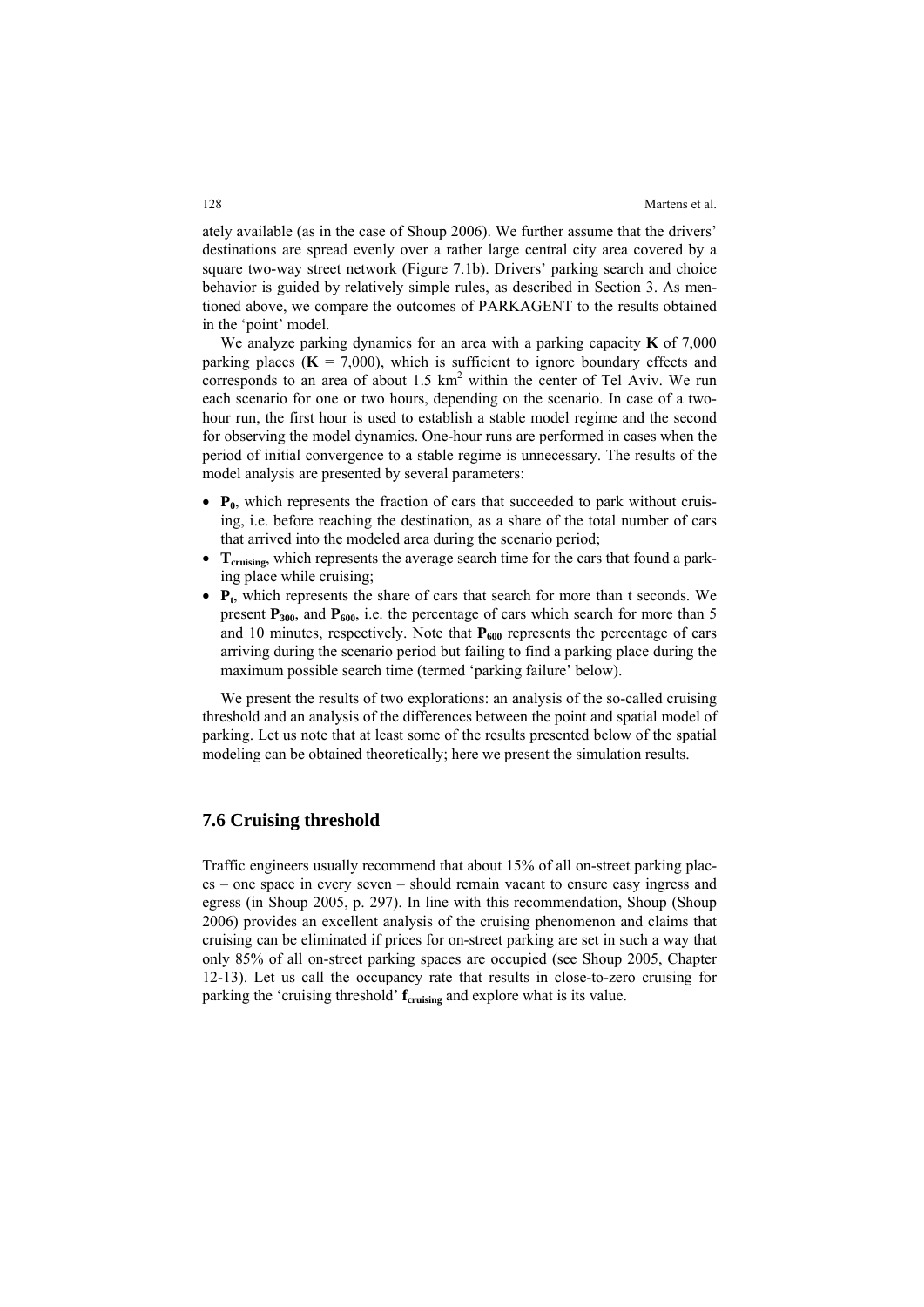ately available (as in the case of Shoup 2006). We further assume that the drivers' destinations are spread evenly over a rather large central city area covered by a square two-way street network (Figure 7.1b). Drivers' parking search and choice behavior is guided by relatively simple rules, as described in Section 3. As mentioned above, we compare the outcomes of PARKAGENT to the results obtained in the 'point' model.

We analyze parking dynamics for an area with a parking capacity **K** of 7,000 parking places ( $\mathbf{K} = 7.000$ ), which is sufficient to ignore boundary effects and corresponds to an area of about  $1.5 \text{ km}^2$  within the center of Tel Aviv. We run each scenario for one or two hours, depending on the scenario. In case of a twohour run, the first hour is used to establish a stable model regime and the second for observing the model dynamics. One-hour runs are performed in cases when the period of initial convergence to a stable regime is unnecessary. The results of the model analysis are presented by several parameters:

- $P_0$ , which represents the fraction of cars that succeeded to park without cruising, i.e. before reaching the destination, as a share of the total number of cars that arrived into the modeled area during the scenario period;
- T<sub>cruising</sub>, which represents the average search time for the cars that found a parking place while cruising;
- $P_t$ , which represents the share of cars that search for more than t seconds. We present  $P_{300}$ , and  $P_{600}$ , i.e. the percentage of cars which search for more than 5 and 10 minutes, respectively. Note that  $P_{600}$  represents the percentage of cars arriving during the scenario period but failing to find a parking place during the maximum possible search time (termed 'parking failure' below).

We present the results of two explorations: an analysis of the so-called cruising threshold and an analysis of the differences between the point and spatial model of parking. Let us note that at least some of the results presented below of the spatial modeling can be obtained theoretically; here we present the simulation results.

#### **7.6 Cruising threshold**

Traffic engineers usually recommend that about 15% of all on-street parking places – one space in every seven – should remain vacant to ensure easy ingress and egress (in Shoup 2005, p. 297). In line with this recommendation, Shoup (Shoup 2006) provides an excellent analysis of the cruising phenomenon and claims that cruising can be eliminated if prices for on-street parking are set in such a way that only 85% of all on-street parking spaces are occupied (see Shoup 2005, Chapter 12-13). Let us call the occupancy rate that results in close-to-zero cruising for parking the 'cruising threshold' **f**<sub>cruising</sub> and explore what is its value.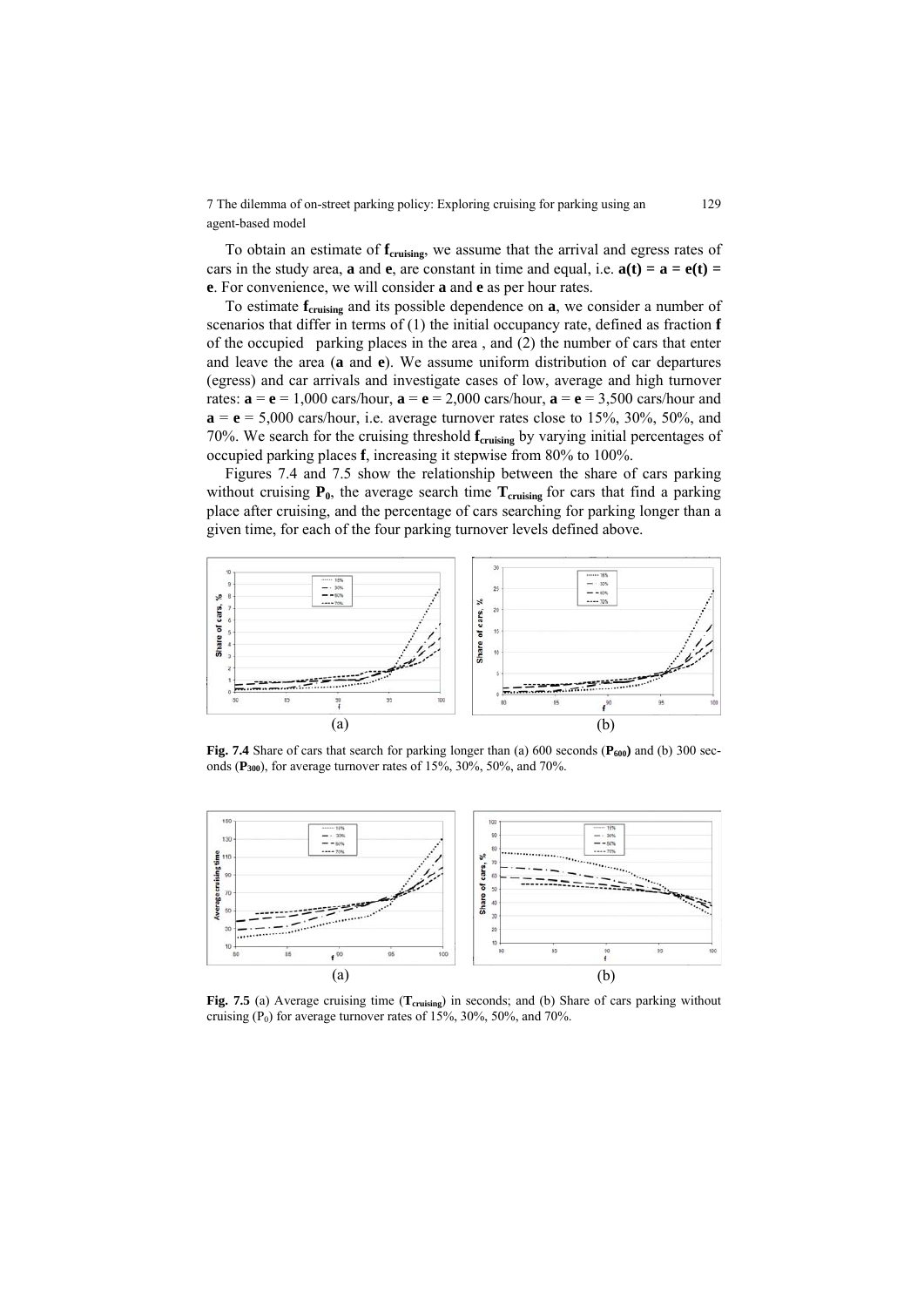To obtain an estimate of  $f_{\text{cruising}}$ , we assume that the arrival and egress rates of cars in the study area, **a** and **e**, are constant in time and equal, i.e.  $a(t) = a = e(t)$ **e**. For convenience, we will consider **a** and **e** as per hour rates.

To estimate f<sub>cruising</sub> and its possible dependence on **a**, we consider a number of scenarios that differ in terms of (1) the initial occupancy rate, defined as fraction **f** of the occupied parking places in the area , and (2) the number of cars that enter and leave the area (**a** and **e**). We assume uniform distribution of car departures (egress) and car arrivals and investigate cases of low, average and high turnover rates:  $\mathbf{a} = \mathbf{e} = 1,000 \text{ cars/hour}, \mathbf{a} = \mathbf{e} = 2,000 \text{ cars/hour}, \mathbf{a} = \mathbf{e} = 3,500 \text{ cars/hour}$  and  $\mathbf{a} = \mathbf{e} = 5.000$  cars/hour, i.e. average turnover rates close to 15%, 30%, 50%, and 70%. We search for the cruising threshold  $f_{\text{crusing}}$  by varying initial percentages of occupied parking places **f**, increasing it stepwise from 80% to 100%.

Figures 7.4 and 7.5 show the relationship between the share of cars parking without cruising  $P_0$ , the average search time  $T_{\text{crusing}}$  for cars that find a parking place after cruising, and the percentage of cars searching for parking longer than a given time, for each of the four parking turnover levels defined above.



Fig. 7.4 Share of cars that search for parking longer than (a) 600 seconds ( $P_{600}$ ) and (b) 300 seconds (**P300**), for average turnover rates of 15%, 30%, 50%, and 70%.



**Fig. 7.5** (a) Average cruising time ( $T_{\text{crusing}}$ ) in seconds; and (b) Share of cars parking without cruising  $(P_0)$  for average turnover rates of 15%, 30%, 50%, and 70%.

129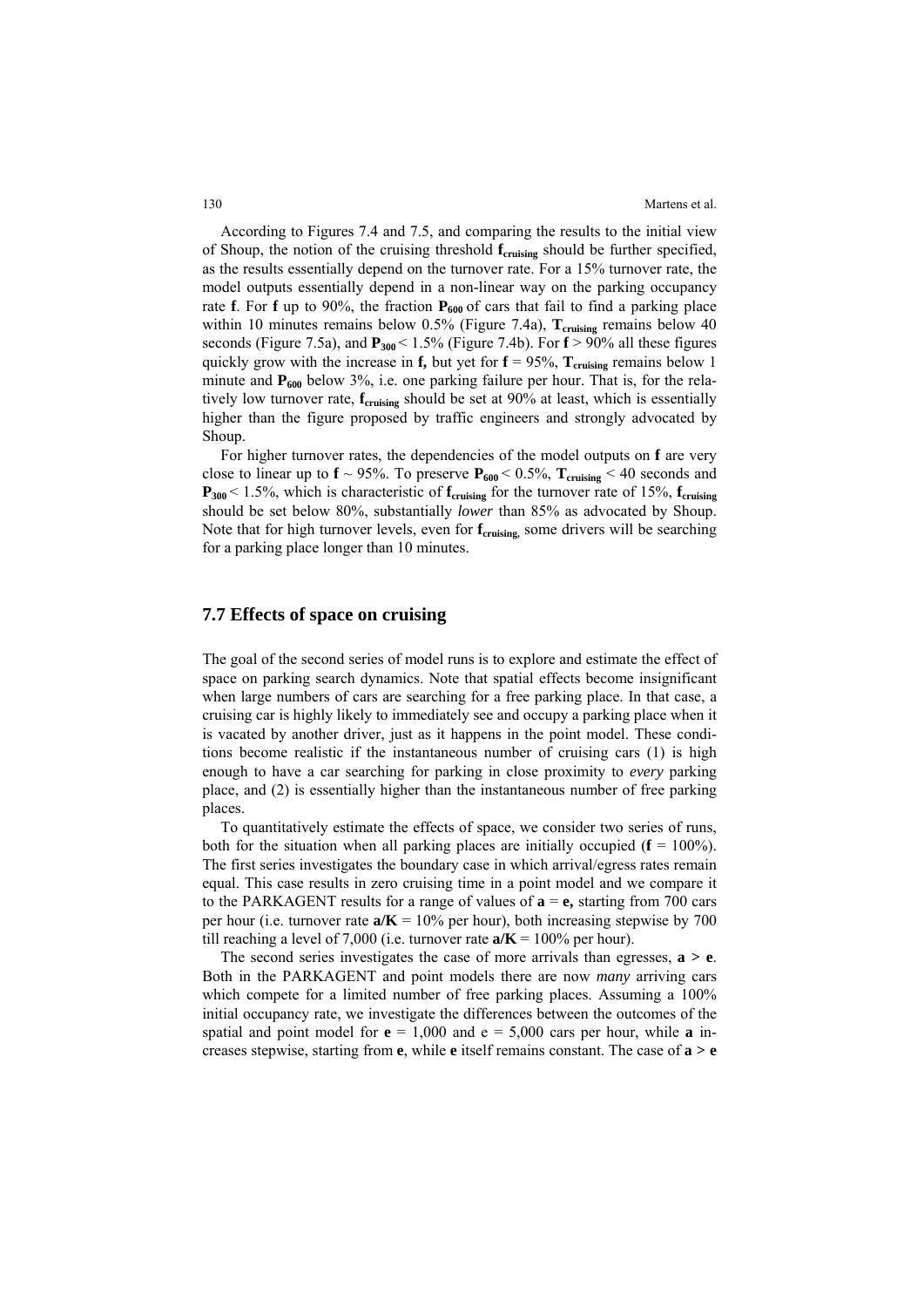According to Figures 7.4 and 7.5, and comparing the results to the initial view of Shoup, the notion of the cruising threshold  $f_{\text{cruising}}$  should be further specified, as the results essentially depend on the turnover rate. For a 15% turnover rate, the model outputs essentially depend in a non-linear way on the parking occupancy rate **f**. For **f** up to 90%, the fraction  $P_{600}$  of cars that fail to find a parking place within 10 minutes remains below  $0.5\%$  (Figure 7.4a),  $T_{\text{crusing}}$  remains below 40 seconds (Figure 7.5a), and  $P_{300}$   $\leq$  1.5% (Figure 7.4b). For  $\mathbf{f} > 90\%$  all these figures quickly grow with the increase in **f**, but yet for  $f = 95\%$ ,  $T_{\text{crusing}}$  remains below 1 minute and  $P_{600}$  below 3%, i.e. one parking failure per hour. That is, for the relatively low turnover rate,  $f_{\text{cruising}}$  should be set at 90% at least, which is essentially higher than the figure proposed by traffic engineers and strongly advocated by Shoup.

For higher turnover rates, the dependencies of the model outputs on **f** are very close to linear up to  $f \sim 95\%$ . To preserve  $P_{600} < 0.5\%$ ,  $T_{\text{cruising}} < 40$  seconds and  $P_{300}$  < 1.5%, which is characteristic of  $f_{\text{crusing}}$  for the turnover rate of 15%,  $f_{\text{crusing}}$ should be set below 80%, substantially *lower* than 85% as advocated by Shoup. Note that for high turnover levels, even for f<sub>cruising</sub> some drivers will be searching for a parking place longer than 10 minutes.

#### **7.7 Effects of space on cruising**

The goal of the second series of model runs is to explore and estimate the effect of space on parking search dynamics. Note that spatial effects become insignificant when large numbers of cars are searching for a free parking place. In that case, a cruising car is highly likely to immediately see and occupy a parking place when it is vacated by another driver, just as it happens in the point model. These conditions become realistic if the instantaneous number of cruising cars (1) is high enough to have a car searching for parking in close proximity to *every* parking place, and (2) is essentially higher than the instantaneous number of free parking places.

To quantitatively estimate the effects of space, we consider two series of runs, both for the situation when all parking places are initially occupied  $(f = 100\%)$ . The first series investigates the boundary case in which arrival/egress rates remain equal. This case results in zero cruising time in a point model and we compare it to the PARKAGENT results for a range of values of  $\mathbf{a} = \mathbf{e}$ , starting from 700 cars per hour (i.e. turnover rate  $a/K = 10\%$  per hour), both increasing stepwise by 700 till reaching a level of 7,000 (i.e. turnover rate  $a/K = 100\%$  per hour).

The second series investigates the case of more arrivals than egresses, **a > e**. Both in the PARKAGENT and point models there are now *many* arriving cars which compete for a limited number of free parking places. Assuming a 100% initial occupancy rate, we investigate the differences between the outcomes of the spatial and point model for  $e = 1,000$  and  $e = 5,000$  cars per hour, while **a** increases stepwise, starting from **e**, while **e** itself remains constant. The case of  $\mathbf{a} > \mathbf{e}$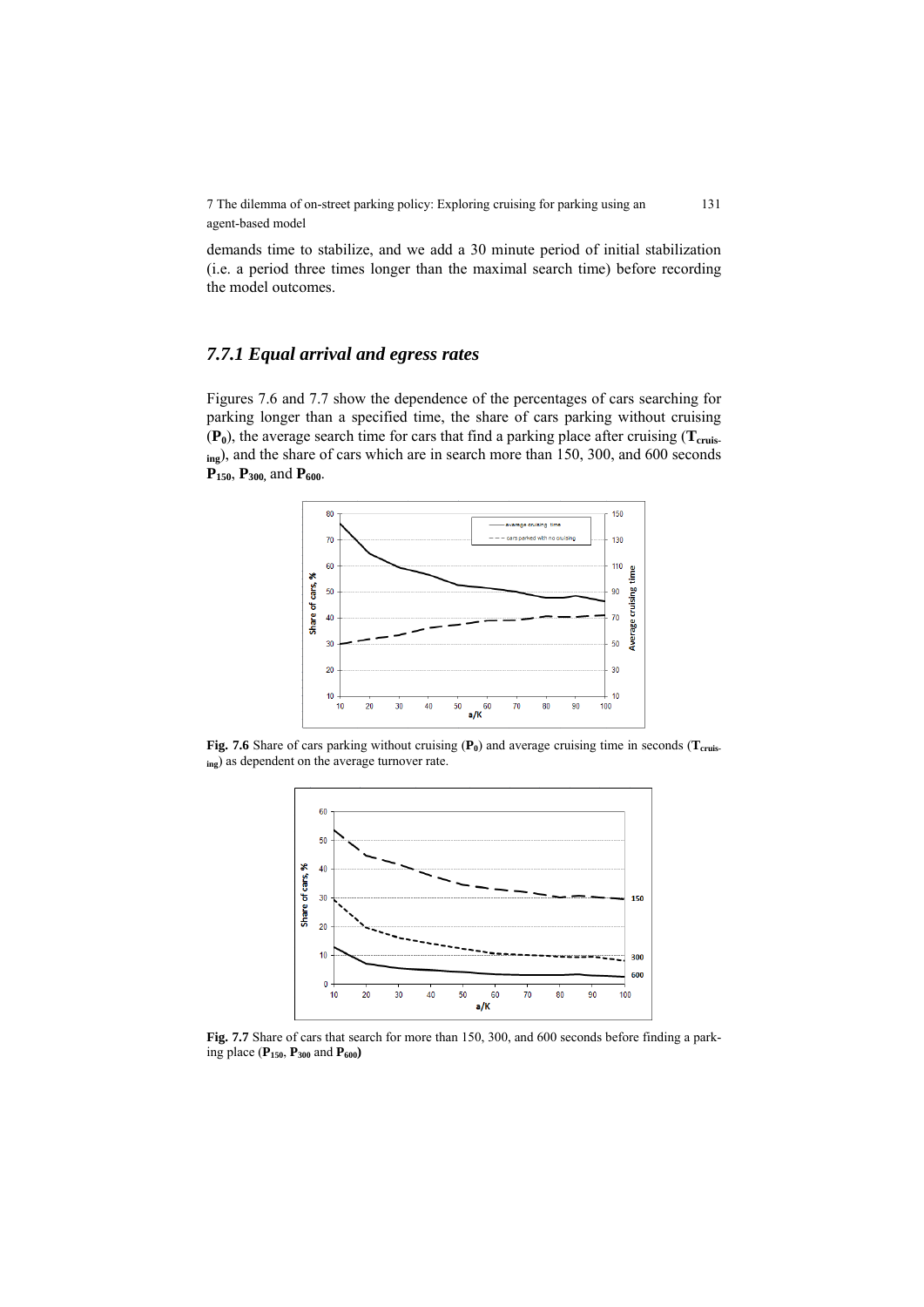demands time to stabilize, and we add a 30 minute period of initial stabilization (i.e. a period three times longer than the maximal search time) before recording the model outcomes.

# *7.7.1 Equal arrival and egress rates*

Figures 7.6 and 7.7 show the dependence of the percentages of cars searching for parking longer than a specified time, the share of cars parking without cruising (P<sub>0</sub>), the average search time for cars that find a parking place after cruising (T<sub>cruis-</sub> **ing**), and the share of cars which are in search more than 150, 300, and 600 seconds  $P_{150}$ ,  $P_{300}$ , and  $P_{600}$ .



**Fig. 7.6** Share of cars parking without cruising ( $\mathbf{P}_0$ ) and average cruising time in seconds ( $\mathbf{T}_{\text{cruis}}$ **ing**) as dependent on the average turnover rate.



**Fig. 7.7** Share of cars that search for more than 150, 300, and 600 seconds before finding a parking place (**P150**, **P300** and **P600)**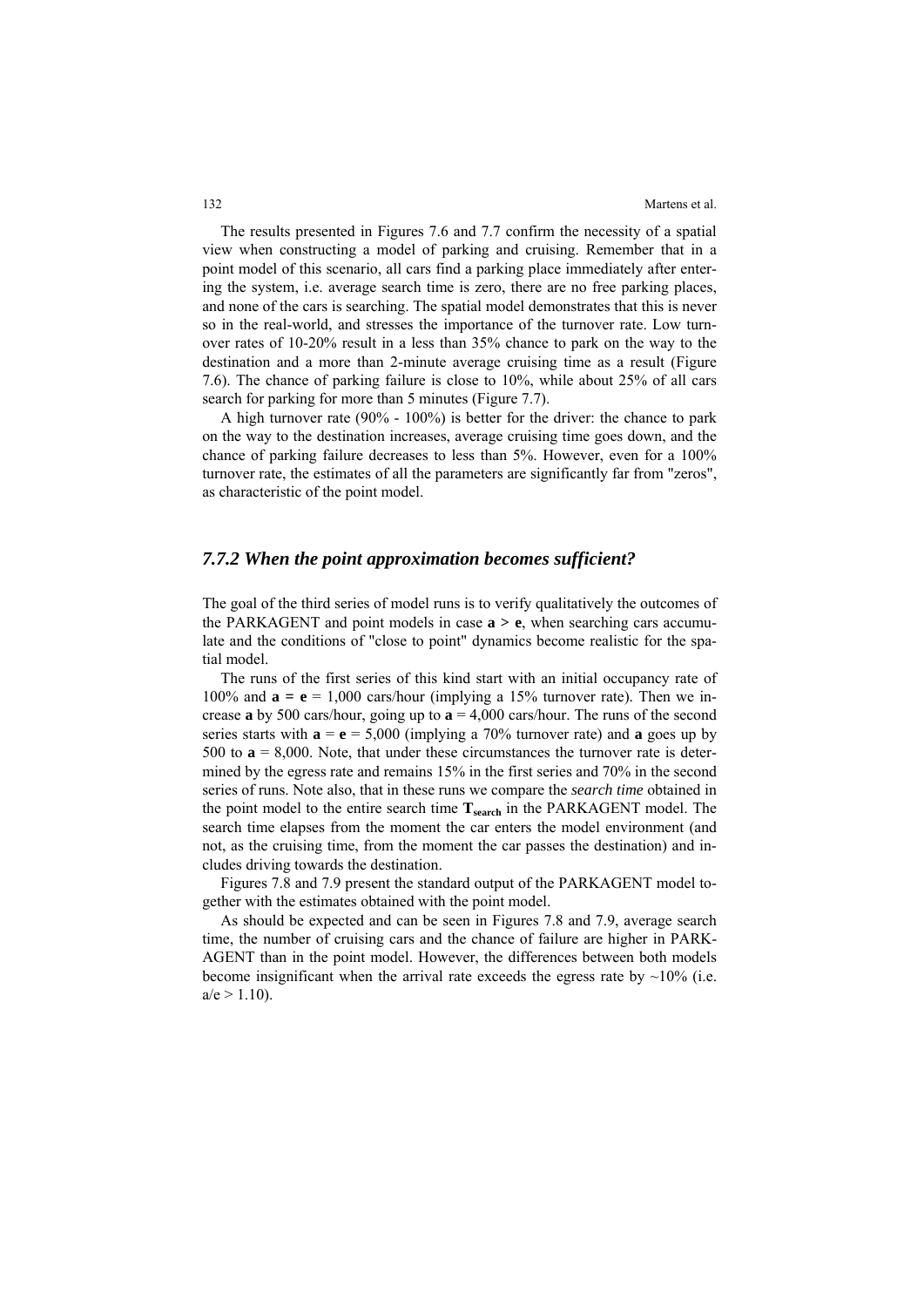The results presented in Figures 7.6 and 7.7 confirm the necessity of a spatial view when constructing a model of parking and cruising. Remember that in a point model of this scenario, all cars find a parking place immediately after entering the system, i.e. average search time is zero, there are no free parking places, and none of the cars is searching. The spatial model demonstrates that this is never so in the real-world, and stresses the importance of the turnover rate. Low turnover rates of 10-20% result in a less than 35% chance to park on the way to the destination and a more than 2-minute average cruising time as a result (Figure 7.6). The chance of parking failure is close to 10%, while about 25% of all cars search for parking for more than 5 minutes (Figure 7.7).

A high turnover rate (90% - 100%) is better for the driver: the chance to park on the way to the destination increases, average cruising time goes down, and the chance of parking failure decreases to less than 5%. However, even for a 100% turnover rate, the estimates of all the parameters are significantly far from "zeros", as characteristic of the point model.

#### *7.7.2 When the point approximation becomes sufficient?*

The goal of the third series of model runs is to verify qualitatively the outcomes of the PARKAGENT and point models in case **a > e**, when searching cars accumulate and the conditions of "close to point" dynamics become realistic for the spatial model.

The runs of the first series of this kind start with an initial occupancy rate of 100% and  $\mathbf{a} = \mathbf{e} = 1,000$  cars/hour (implying a 15% turnover rate). Then we increase **a** by 500 cars/hour, going up to **a** = 4,000 cars/hour. The runs of the second series starts with  $\mathbf{a} = \mathbf{e} = 5{,}000$  (implying a 70% turnover rate) and **a** goes up by 500 to **a** = 8,000. Note, that under these circumstances the turnover rate is determined by the egress rate and remains 15% in the first series and 70% in the second series of runs. Note also, that in these runs we compare the *search time* obtained in the point model to the entire search time **Tsearch** in the PARKAGENT model. The search time elapses from the moment the car enters the model environment (and not, as the cruising time, from the moment the car passes the destination) and includes driving towards the destination.

Figures 7.8 and 7.9 present the standard output of the PARKAGENT model together with the estimates obtained with the point model.

As should be expected and can be seen in Figures 7.8 and 7.9, average search time, the number of cruising cars and the chance of failure are higher in PARK-AGENT than in the point model. However, the differences between both models become insignificant when the arrival rate exceeds the egress rate by  $\sim$ 10% (i.e.  $a/e > 1.10$ ).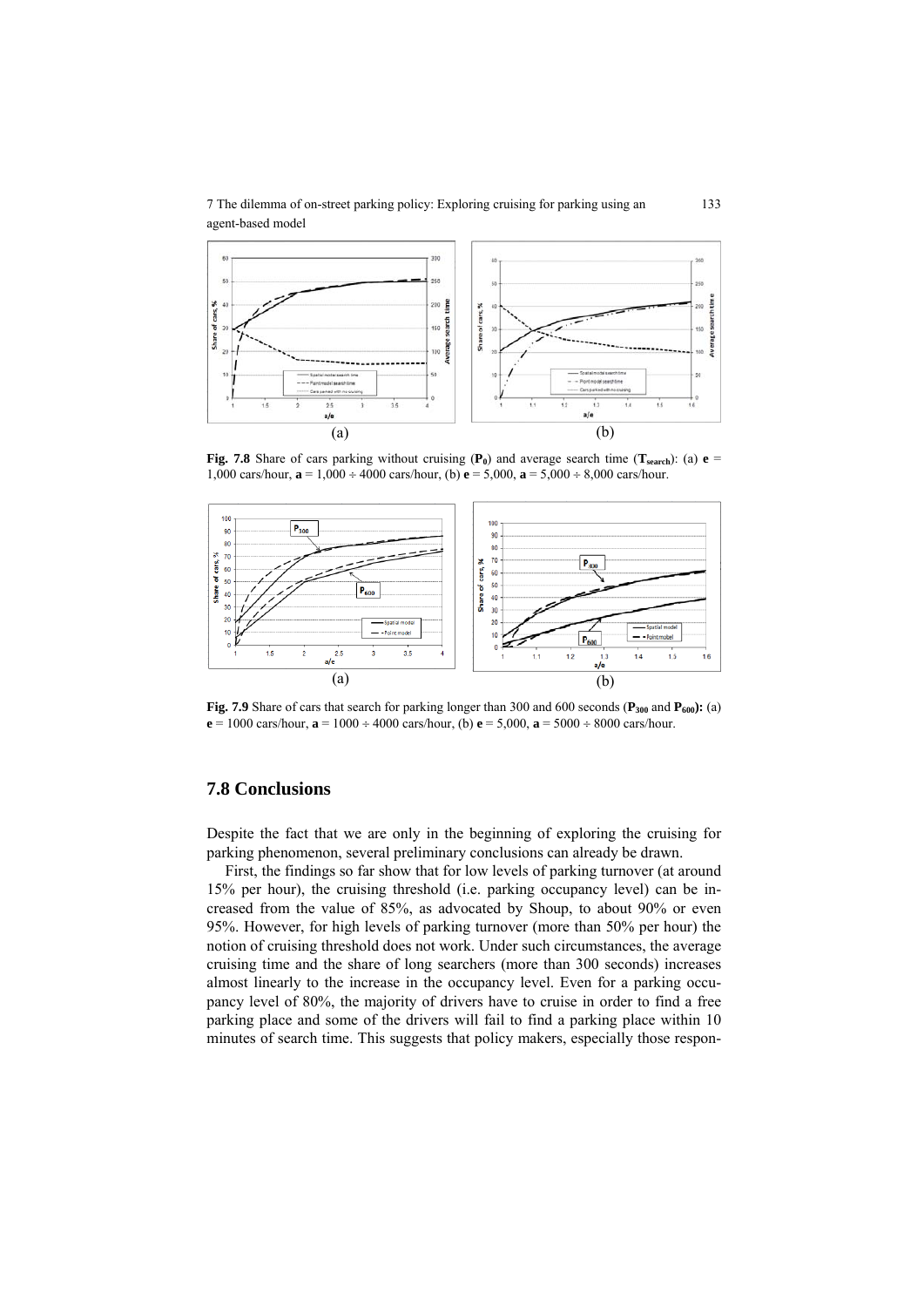

**Fig. 7.8** Share of cars parking without cruising  $(P_0)$  and average search time (**T**<sub>search</sub>): (a)  $e =$ 1,000 cars/hour,  $\mathbf{a} = 1,000 \div 4000$  cars/hour, (b)  $\mathbf{e} = 5,000$ ,  $\mathbf{a} = 5,000 \div 8,000$  cars/hour.



**Fig. 7.9** Share of cars that search for parking longer than 300 and 600 seconds ( $\mathbf{P}_{300}$  and  $\mathbf{P}_{600}$ ): (a) **e** = 1000 cars/hour, **a** = 1000  $\div$  4000 cars/hour, (b) **e** = 5,000, **a** = 5000  $\div$  8000 cars/hour.

## **7.8 Conclusions**

Despite the fact that we are only in the beginning of exploring the cruising for parking phenomenon, several preliminary conclusions can already be drawn.

First, the findings so far show that for low levels of parking turnover (at around 15% per hour), the cruising threshold (i.e. parking occupancy level) can be increased from the value of 85%, as advocated by Shoup, to about 90% or even 95%. However, for high levels of parking turnover (more than 50% per hour) the notion of cruising threshold does not work. Under such circumstances, the average cruising time and the share of long searchers (more than 300 seconds) increases almost linearly to the increase in the occupancy level. Even for a parking occupancy level of 80%, the majority of drivers have to cruise in order to find a free parking place and some of the drivers will fail to find a parking place within 10 minutes of search time. This suggests that policy makers, especially those respon-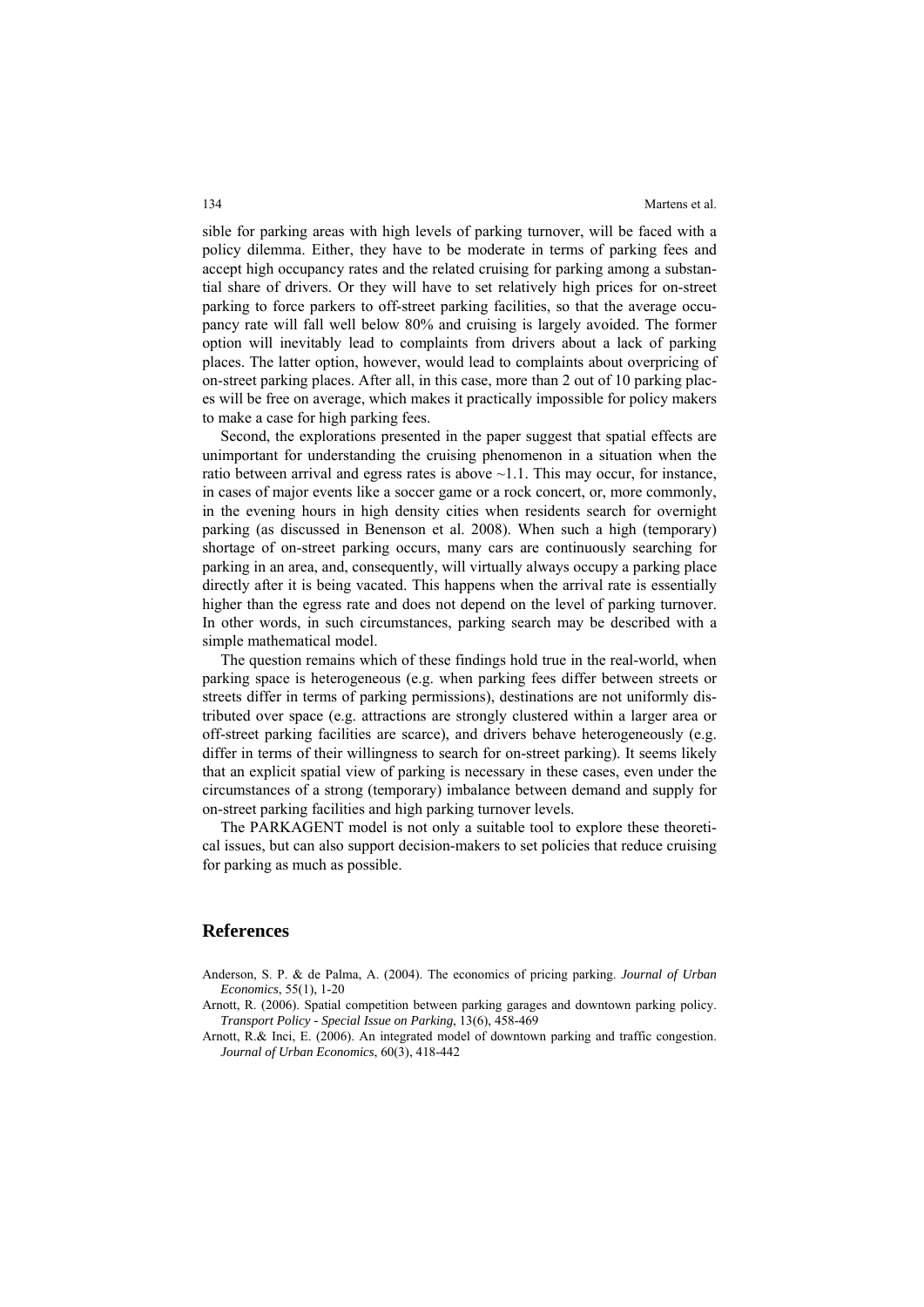sible for parking areas with high levels of parking turnover, will be faced with a policy dilemma. Either, they have to be moderate in terms of parking fees and accept high occupancy rates and the related cruising for parking among a substantial share of drivers. Or they will have to set relatively high prices for on-street parking to force parkers to off-street parking facilities, so that the average occupancy rate will fall well below 80% and cruising is largely avoided. The former option will inevitably lead to complaints from drivers about a lack of parking places. The latter option, however, would lead to complaints about overpricing of on-street parking places. After all, in this case, more than 2 out of 10 parking places will be free on average, which makes it practically impossible for policy makers to make a case for high parking fees.

Second, the explorations presented in the paper suggest that spatial effects are unimportant for understanding the cruising phenomenon in a situation when the ratio between arrival and egress rates is above ~1.1. This may occur, for instance, in cases of major events like a soccer game or a rock concert, or, more commonly, in the evening hours in high density cities when residents search for overnight parking (as discussed in Benenson et al. 2008). When such a high (temporary) shortage of on-street parking occurs, many cars are continuously searching for parking in an area, and, consequently, will virtually always occupy a parking place directly after it is being vacated. This happens when the arrival rate is essentially higher than the egress rate and does not depend on the level of parking turnover. In other words, in such circumstances, parking search may be described with a simple mathematical model.

The question remains which of these findings hold true in the real-world, when parking space is heterogeneous (e.g. when parking fees differ between streets or streets differ in terms of parking permissions), destinations are not uniformly distributed over space (e.g. attractions are strongly clustered within a larger area or off-street parking facilities are scarce), and drivers behave heterogeneously (e.g. differ in terms of their willingness to search for on-street parking). It seems likely that an explicit spatial view of parking is necessary in these cases, even under the circumstances of a strong (temporary) imbalance between demand and supply for on-street parking facilities and high parking turnover levels.

The PARKAGENT model is not only a suitable tool to explore these theoretical issues, but can also support decision-makers to set policies that reduce cruising for parking as much as possible.

#### **References**

- Anderson, S. P. & de Palma, A. (2004). The economics of pricing parking. *Journal of Urban Economics*, 55(1), 1-20
- Arnott, R. (2006). Spatial competition between parking garages and downtown parking policy. *Transport Policy - Special Issue on Parking*, 13(6), 458-469

Arnott, R.& Inci, E. (2006). An integrated model of downtown parking and traffic congestion. *Journal of Urban Economics*, 60(3), 418-442